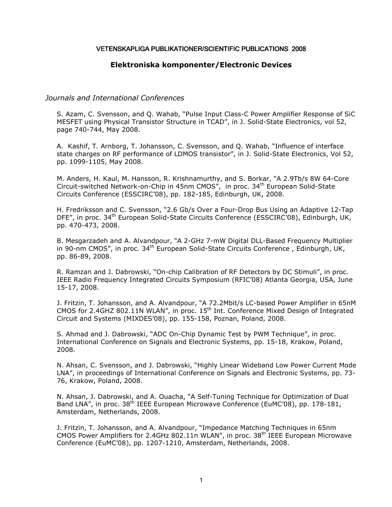#### VETENSKAPLIGA PUBLIKATIONER/SCIENTIFIC PUBLICATIONS 2008

## **Elektroniska komponenter/Electronic Devices**

## *Journals and International Conferences*

S. Azam, C. Svensson, and Q. Wahab, "Pulse Input Class-C Power Amplifier Response of SiC MESFET using Physical Transistor Structure in TCAD", in J. Solid-State Electronics, vol 52, page 740-744, May 2008.

A. Kashif, T. Arnborg, T. Johansson, C. Svensson, and Q. Wahab, "Influence of interface state charges on RF performance of LDMOS transistor", in J. Solid-State Electronics, Vol 52, pp. 1099-1105, May 2008.

M. Anders, H. Kaul, M. Hansson, R. Krishnamurthy, and S. Borkar, "A 2.9Tb/s 8W 64-Core Circuit-switched Network-on-Chip in 45nm CMOS", in proc. 34th European Solid-State Circuits Conference (ESSCIRC'08), pp. 182-185, Edinburgh, UK, 2008.

H. Fredriksson and C. Svensson, "2.6 Gb/s Over a Four-Drop Bus Using an Adaptive 12-Tap DFE", in proc. 34<sup>th</sup> European Solid-State Circuits Conference (ESSCIRC'08), Edinburgh, UK, pp. 470-473, 2008.

B. Mesgarzadeh and A. Alvandpour, "A 2-GHz 7-mW Digital DLL-Based Frequency Multiplier in 90-nm CMOS", in proc.  $34<sup>th</sup>$  European Solid-State Circuits Conference, Edinburgh, UK, pp. 86-89, 2008.

R. Ramzan and J. Dabrowski, "On-chip Calibration of RF Detectors by DC Stimuli", in proc. IEEE Radio Frequency Integrated Circuits Symposium (RFIC'08) Atlanta Georgia, USA, June 15-17, 2008.

J. Fritzin, T. Johansson, and A. Alvandpour, "A 72.2Mbit/s LC-based Power Amplifier in 65nM CMOS for 2.4GHZ 802.11N WLAN", in proc. 15th Int. Conference Mixed Design of Integrated Circuit and Systems (MIXDES'08), pp. 155-158, Poznan, Poland, 2008.

S. Ahmad and J. Dabrowski, "ADC On-Chip Dynamic Test by PWM Technique", in proc. International Conference on Signals and Electronic Systems, pp. 15-18, Krakow, Poland, 2008.

N. Ahsan, C. Svensson, and J. Dabrowski, "Highly Linear Wideband Low Power Current Mode LNA", in proceedings of International Conference on Signals and Electronic Systems, pp. 73- 76, Krakow, Poland, 2008.

N. Ahsan, J. Dabrowski, and A. Ouacha, "A Self-Tuning Technique for Optimization of Dual Band LNA", in proc. 38<sup>th</sup> IEEE European Microwave Conference (EuMC'08), pp. 178-181, Amsterdam, Netherlands, 2008.

J. Fritzin, T. Johansson, and A. Alvandpour, "Impedance Matching Techniques in 65nm CMOS Power Amplifiers for 2.4GHz 802.11n WLAN", in proc.  $38<sup>th</sup>$  IEEE European Microwave Conference (EuMC'08), pp. 1207-1210, Amsterdam, Netherlands, 2008.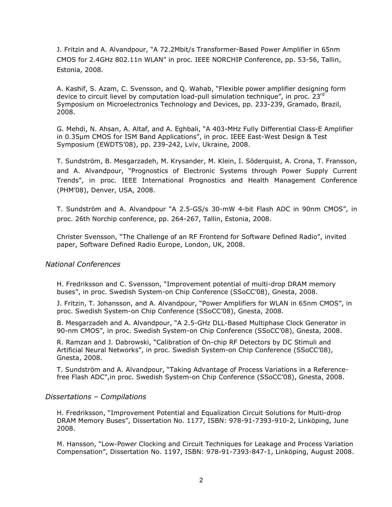J. Fritzin and A. Alvandpour, "A 72.2Mbit/s Transformer-Based Power Amplifier in 65nm CMOS for 2.4GHz 802.11n WLAN" in proc. IEEE NORCHIP Conference, pp. 53-56, Tallin, Estonia, 2008.

A. Kashif, S. Azam, C. Svensson, and Q. Wahab, "Flexible power amplifier designing form device to circuit lievel by computation load-pull simulation technique", in proc. 23rd Symposium on Microelectronics Technology and Devices, pp. 233-239, Gramado, Brazil, 2008.

G. Mehdi, N. Ahsan, A. Altaf, and A. Eghbali, "A 403-MHz Fully Differential Class-E Amplifier in 0.35µm CMOS for ISM Band Applications", in proc. IEEE East-West Design & Test Symposium (EWDTS'08), pp. 239-242, Lviv, Ukraine, 2008.

T. Sundström, B. Mesgarzadeh, M. Krysander, M. Klein, I. Söderquist, A. Crona, T. Fransson, and A. Alvandpour, "Prognostics of Electronic Systems through Power Supply Current Trends", in proc. IEEE International Prognostics and Health Management Conference (PHM'08), Denver, USA, 2008.

T. Sundström and A. Alvandpour "A 2.5-GS/s 30-mW 4-bit Flash ADC in 90nm CMOS", in proc. 26th Norchip conference, pp. 264-267, Tallin, Estonia, 2008.

Christer Svensson, "The Challenge of an RF Frontend for Software Defined Radio", invited paper, Software Defined Radio Europe, London, UK, 2008.

## *National Conferences*

H. Fredriksson and C. Svensson, "Improvement potential of multi-drop DRAM memory buses", in proc. Swedish System-on Chip Conference (SSoCC'08), Gnesta, 2008.

J. Fritzin, T. Johansson, and A. Alvandpour, "Power Amplifiers for WLAN in 65nm CMOS", in proc. Swedish System-on Chip Conference (SSoCC'08), Gnesta, 2008.

B. Mesgarzadeh and A. Alvandpour, "A 2.5-GHz DLL-Based Multiphase Clock Generator in 90-nm CMOS", in proc. Swedish System-on Chip Conference (SSoCC'08), Gnesta, 2008.

R. Ramzan and J. Dabrowski, "Calibration of On-chip RF Detectors by DC Stimuli and Artificial Neural Networks", in proc. Swedish System-on Chip Conference (SSoCC'08), Gnesta, 2008.

T. Sundström and A. Alvandpour, "Taking Advantage of Process Variations in a Referencefree Flash ADC",in proc. Swedish System-on Chip Conference (SSoCC'08), Gnesta, 2008.

## *Dissertations – Compilations*

H. Fredriksson, "Improvement Potential and Equalization Circuit Solutions for Multi-drop DRAM Memory Buses", Dissertation No. 1177, ISBN: 978-91-7393-910-2, Linköping, June 2008.

M. Hansson, "Low-Power Clocking and Circuit Techniques for Leakage and Process Variation Compensation", Dissertation No. 1197, ISBN: 978-91-7393-847-1, Linköping, August 2008.